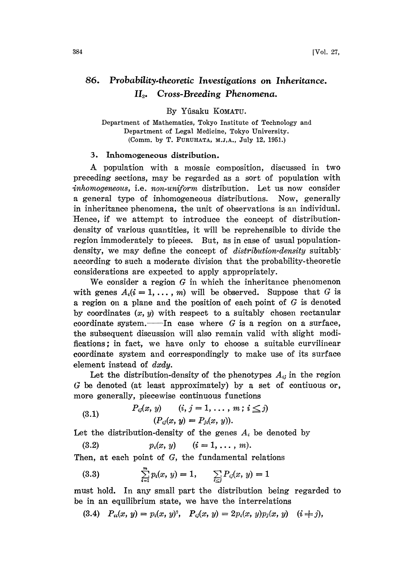## 86. Probability.theoretic Investigations on Inheritance.  $II<sub>2</sub>$ . Cross-Breeding Phenomena.

By Yûsaku KOMATU.

Department of Mathematics, Tokyo Institute of Teehnology and Department of Legal Medicine, Tokyo University. (Comm. by T. FURUHATA, M.J, A., July 12, 1951.)

## 3. lnhomogeneous distribution.

A population with <sup>a</sup> mosaic composition, discussed in two preceding sections, may be regarded as a sort of population with inhomogeneous, i.e. non-uniform distribution. Let us now consider a general type of inhomogeneous distributions. Now, generally in inheritance phenomena, the unit of observations is an individual. Hence, if we attempt to introduce the concept of distributiondensity of various quantities, it will be reprehensible to divide the region immoderately to pieces. But, as in case of usual populationdensity, we may define the concept of *distribution-density* suitably according to such a moderate division that the probability-theoretic considerations are expected to apply appropriately.

We consider a region  $G$  in which the inheritance phenomenon with genes  $A_i(i=1,\ldots,m)$  will be observed. Suppose that G is a region on a plane and the position of each point of G is denoted by coordinates  $(x, y)$  with respect to a suitably chosen rectanular coordinate system. In case where  $G$  is a region on a surface, the subsequent discussion will also remain valid with slight modifications; in fact, we have only to choose a suitable curvilinear coordinate system and correspondingly to make use of its surface element instead of dxdy.

Let the distribution-density of the phenotypes  $A_{ij}$  in the region G be denoted (at least approximately) by a set of contiuous or, .more generally, piecewise continuous functions

(3.1) 
$$
P_{ij}(x, y) \qquad (i, j = 1, ..., m; i \leq j) (P_{ij}(x, y) = P_{ji}(x, y)).
$$

Let the distribution-density of the genes  $A_i$  be denoted by

(3.2)  $p_i(x, y)$   $(i = 1, \ldots, m).$ 

Then, at each point of  $G$ , the fundamental relations

(3.3) 
$$
\sum_{i=1}^{m} p_i(x, y) = 1, \qquad \sum_{i \leq j} P_{ij}(x, y) = 1
$$

must hold. In any small part the distribution being regarded to be in an equilibrium state, we have the interrelations

(3.4)  $P_{ii}(x, y) = p_i(x, y)^2$ ,  $P_{ii}(x, y) = 2p_i(x, y)p_i(x, y)$  (i  $\neq j$ ),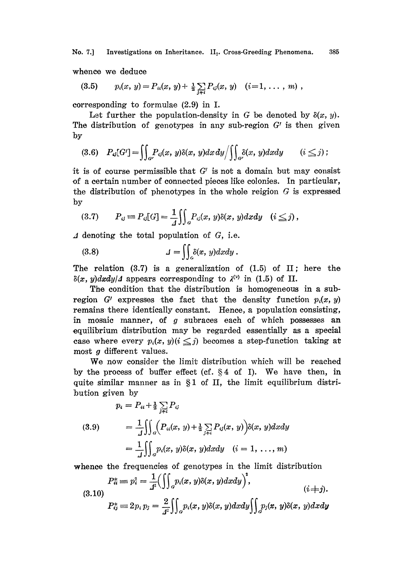No. 7.] Investigations on Inheritance. II<sub>2</sub>. Cross-Greeding Phenomena. 385

whence we deduce

$$
(3.5) \t p_i(x, y) = P_{ii}(x, y) + \frac{1}{2} \sum_{j \neq i} P_{ij}(x, y) \t (i = 1, \ldots, m) ,
$$

corresponding to formulae  $(2.9)$  in I.

Let further the population-density in G be denoted by  $\delta(x, y)$ . The distribution of genotypes in any sub-region  $G'$  is then given by

$$
(3.6) \quad P_{\mathcal{G}}[G'] = \iint_{G'} P_{\mathcal{G}}(x, y) \delta(x, y) dx dy / \iint_{G'} \delta(x, y) dx dy \qquad (i \leq j) ;
$$

it is of course permissible that  $G'$  is not a domain but may consist of a certain number of connected pieces like colonies. In particular, the distribution of phenotypes in the whole reigion  $G$  is expressed by

$$
(3.7) \qquad P_{\mathcal{G}} \equiv P_{\mathcal{G}}[G] = \frac{1}{4} \iint_{G} P_{\mathcal{G}}(x, y) \delta(x, y) dx dy \quad (i \leq j),
$$

 $\Delta$  denoting the total population of G, i.e.

(3.8) 
$$
\qquad \qquad \mathcal{A} = \iint_{G} \delta(x, y) dx dy.
$$

The relation  $(3.7)$  is a generalization of  $(1.5)$  of II; here the  $\delta(x, y) dx dy/4$  appears corresponding to  $\lambda^{(y)}$  in (1.5) of II.

The condition that the distribution is homogeneous in a subregion G' expresses the fact that the density function  $p_i(x, y)$ remains there identically constant. Hence, a population consisting, in mosaic manner, of  $g$  subraces each of which possesses an equilibrium distribution may be regarded essentially as a special case where every  $p_i(x, y)$  ( $i \leq j$ ) becomes a step-function taking at most g different values.

We now consider the limit distribution which will be reached by the process of buffer effect (cf.  $\S 4$  of I). We have then, in quite similar manner as in  $\S1$  of II, the limit equilibrium distribution given by

$$
p_i = P_{ii} + \frac{1}{2} \sum_{j \neq i} P_{ij}
$$
  
(3.9) 
$$
= \frac{1}{J} \iint_{\mathcal{G}} \left( P_{ii}(x, y) + \frac{1}{2} \sum_{j \neq i} P_{ij}(x, y) \right) \delta(x, y) dx dy
$$

$$
= \frac{1}{J} \iint_{\mathcal{G}} p_i(x, y) \delta(x, y) dx dy \quad (i = 1, ..., m)
$$

whence the frequencies of genotypes in the limit distribution

$$
P_{\hat{u}}^* = p_i^2 = \frac{1}{f^2} \Big( \iint_{G} p_i(x, y) \delta(x, y) dx dy \Big)^2, \tag{1}i+j.
$$

 $P_{ij}^* = 2p_i p_j = \frac{2}{\epsilon^2} \iint_{\alpha} p_i(x, y) \delta(x, y) dx dy \iint_{\alpha} p_j(x, y) \delta(x, y) dx dy$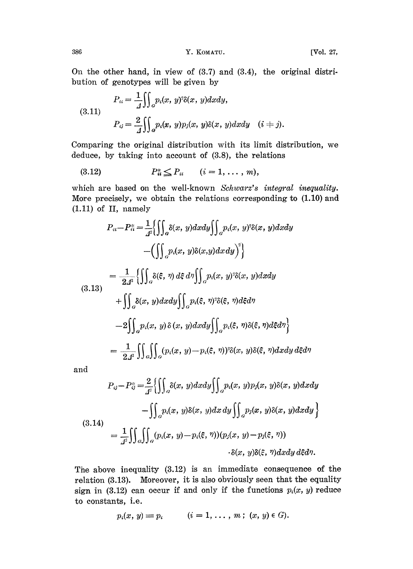On the other hand, in view of (3.7) and (3.4), the original distribution of genotypes will be given by

(3.11)  

$$
P_{ii} = \frac{1}{4} \iint_{\alpha} p_i(x, y)^2 \delta(x, y) dx dy,
$$

$$
P_{ij} = \frac{2}{4} \iint_{\alpha} p_i(x, y) p_j(x, y) \delta(x, y) dx dy \quad (i \neq j).
$$

Comparing the original distribution with its limit distribution, we deduce, by taking into account of (3.8), the relations \_\_

(3.12) 
$$
P_u^* \leq P_u \quad (i = 1, ..., m),
$$

which are based on the well-known Schwarz's integral inequality. More precisely, we obtain the relations corresponding to  $(1.10)$  and (1.11) of II, namely

$$
P_{ii} - P_{ii}^{*} = \frac{1}{4} \Biggl\{ \iint_{a} \delta(x, y) dx dy \iint_{a} p_{i}(x, y)^{3} \delta(x, y) dx dy
$$

$$
- \Biggl( \iint_{a} p_{i}(x, y) \delta(x, y) dx dy \Biggr)^{3} \Biggr\}
$$

$$
= \frac{1}{24^{3}} \Biggl\{ \iint_{a} \delta(\xi, \eta) d\xi d\eta \iint_{a} p_{i}(x, y)^{3} \delta(x, y) dx dy
$$

$$
+ \iint_{a} \delta(x, y) dx dy \iint_{a} p_{i}(\xi, \eta)^{3} \delta(\xi, \eta) d\xi d\eta
$$

$$
- 2 \Biggl\{ \int_{a} p_{i}(x, y) \delta(x, y) dx dy \iint_{a} p_{i}(\xi, \eta) \delta(\xi, \eta) d\xi d\eta \Biggr\}
$$

$$
= \frac{1}{24^{3}} \iint_{a} \iint_{a} (p_{i}(x, y) - p_{i}(\xi, \eta))^{3} \delta(x, y) \delta(\xi, \eta) dx dy d\xi d\eta
$$

and

$$
P_{ij} - P_{ij}^* = \frac{2}{4^2} \Biggl\{ \iint_{\sigma} \delta(x, y) dx dy \iint_{\sigma} p_i(x, y) p_j(x, y) \delta(x, y) dx dy
$$

$$
- \iint_{\sigma} p_i(x, y) \delta(x, y) dx dy \iint_{\sigma} p_j(x, y) \delta(x, y) dx dy \Biggr\}
$$
  
(3.14)
$$
= \frac{1}{4^2} \iint_{\sigma} \iint_{\sigma} (p_i(x, y) - p_i(\xi, \eta)) (p_j(x, y) - p_j(\xi, \eta))
$$

$$
\cdot \delta(x, y) \delta(\xi, \eta) dx dy d\xi d\eta.
$$

The above inequality  $(3.12)$  is an immediate consequence of the relation (3.13). Moreover, it is also obviously seen that the equality sign in (3.12) can occur if and only if the functions  $p_i(x, y)$  reduce to constants, i.e.

$$
p_i(x, y) \equiv p_i \qquad (i = 1, \ldots, m; (x, y) \in G).
$$